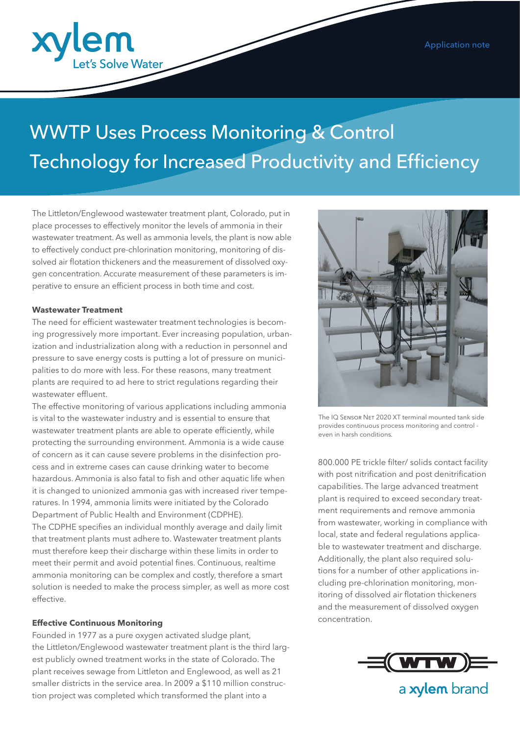

# WWTP Uses Process Monitoring & Control Technology for Increased Productivity and Efficiency

The Littleton/Englewood wastewater treatment plant, Colorado, put in place processes to effectively monitor the levels of ammonia in their wastewater treatment. As well as ammonia levels, the plant is now able to effectively conduct pre-chlorination monitoring, monitoring of dissolved air flotation thickeners and the measurement of dissolved oxygen concentration. Accurate measurement of these parameters is imperative to ensure an efficient process in both time and cost.

#### **Wastewater Treatment**

The need for efficient wastewater treatment technologies is becoming progressively more important. Ever increasing population, urbanization and industrialization along with a reduction in personnel and pressure to save energy costs is putting a lot of pressure on municipalities to do more with less. For these reasons, many treatment plants are required to ad here to strict regulations regarding their wastewater effluent.

The effective monitoring of various applications including ammonia is vital to the wastewater industry and is essential to ensure that wastewater treatment plants are able to operate efficiently, while protecting the surrounding environment. Ammonia is a wide cause of concern as it can cause severe problems in the disinfection process and in extreme cases can cause drinking water to become hazardous. Ammonia is also fatal to fish and other aquatic life when it is changed to unionized ammonia gas with increased river temperatures. In 1994, ammonia limits were initiated by the Colorado Department of Public Health and Environment (CDPHE). The CDPHE specifies an individual monthly average and daily limit that treatment plants must adhere to. Wastewater treatment plants must therefore keep their discharge within these limits in order to meet their permit and avoid potential fines. Continuous, realtime ammonia monitoring can be complex and costly, therefore a smart solution is needed to make the process simpler, as well as more cost effective.

## **Effective Continuous Monitoring**

Founded in 1977 as a pure oxygen activated sludge plant, the Littleton/Englewood wastewater treatment plant is the third largest publicly owned treatment works in the state of Colorado. The plant receives sewage from Littleton and Englewood, as well as 21 smaller districts in the service area. In 2009 a \$110 million construction project was completed which transformed the plant into a



The IQ SENSOR NET 2020 XT terminal mounted tank side provides continuous process monitoring and control even in harsh conditions.

800.000 PE trickle filter/ solids contact facility with post nitrification and post denitrification capabilities. The large advanced treatment plant is required to exceed secondary treatment requirements and remove ammonia from wastewater, working in compliance with local, state and federal regulations applicable to wastewater treatment and discharge. Additionally, the plant also required solutions for a number of other applications including pre-chlorination monitoring, monitoring of dissolved air flotation thickeners and the measurement of dissolved oxygen concentration.



a xylem brand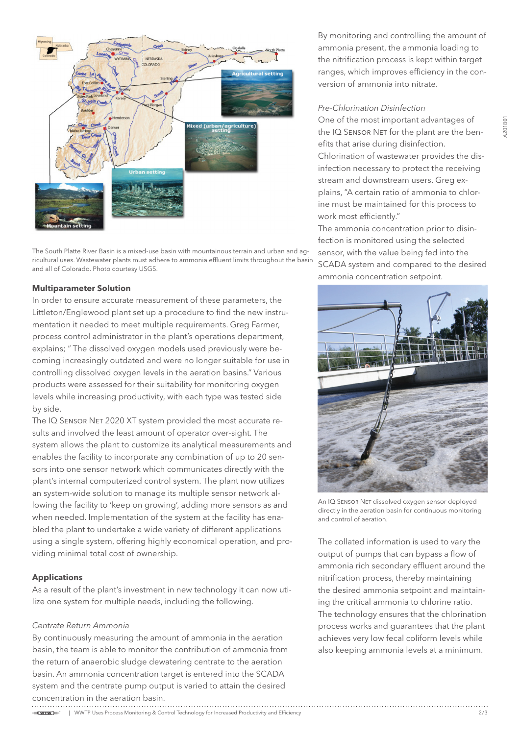

The South Platte River Basin is a mixed-use basin with mountainous terrain and urban and agricultural uses. Wastewater plants must adhere to ammonia effluent limits throughout the basin and all of Colorado. Photo courtesy USGS.

#### **Multiparameter Solution**

In order to ensure accurate measurement of these parameters, the Littleton/Englewood plant set up a procedure to find the new instrumentation it needed to meet multiple requirements. Greg Farmer, process control administrator in the plant's operations department, explains; " The dissolved oxygen models used previously were becoming increasingly outdated and were no longer suitable for use in controlling dissolved oxygen levels in the aeration basins." Various products were assessed for their suitability for monitoring oxygen levels while increasing productivity, with each type was tested side by side.

The IQ SENSOR NET 2020 XT system provided the most accurate results and involved the least amount of operator over-sight. The system allows the plant to customize its analytical measurements and enables the facility to incorporate any combination of up to 20 sensors into one sensor network which communicates directly with the plant's internal computerized control system. The plant now utilizes an system-wide solution to manage its multiple sensor network allowing the facility to 'keep on growing', adding more sensors as and when needed. Implementation of the system at the facility has enabled the plant to undertake a wide variety of different applications using a single system, offering highly economical operation, and providing minimal total cost of ownership.

## **Applications**

As a result of the plant's investment in new technology it can now utilize one system for multiple needs, including the following.

#### *Centrate Return Ammonia*

By continuously measuring the amount of ammonia in the aeration basin, the team is able to monitor the contribution of ammonia from the return of anaerobic sludge dewatering centrate to the aeration basin. An ammonia concentration target is entered into the SCADA system and the centrate pump output is varied to attain the desired concentration in the aeration basin.

By monitoring and controlling the amount of ammonia present, the ammonia loading to the nitrification process is kept within target ranges, which improves efficiency in the conversion of ammonia into nitrate.

#### *Pre-Chlorination Disinfection*

One of the most important advantages of the IQ SENSOR NET for the plant are the benefits that arise during disinfection. Chlorination of wastewater provides the disinfection necessary to protect the receiving stream and downstream users. Greg explains, "A certain ratio of ammonia to chlorine must be maintained for this process to work most efficiently."

The ammonia concentration prior to disinfection is monitored using the selected sensor, with the value being fed into the SCADA system and compared to the desired ammonia concentration setpoint.



An IQ SENSOR NET dissolved oxygen sensor deployed directly in the aeration basin for continuous monitoring and control of aeration.

The collated information is used to vary the output of pumps that can bypass a flow of ammonia rich secondary effluent around the nitrification process, thereby maintaining the desired ammonia setpoint and maintaining the critical ammonia to chlorine ratio. The technology ensures that the chlorination process works and guarantees that the plant achieves very low fecal coliform levels while also keeping ammonia levels at a minimum.

=C<del>WTW</del>)=" | WWTP Uses Process Monitoring & Control Technology for Increased Productivity and Efficiency 2/3